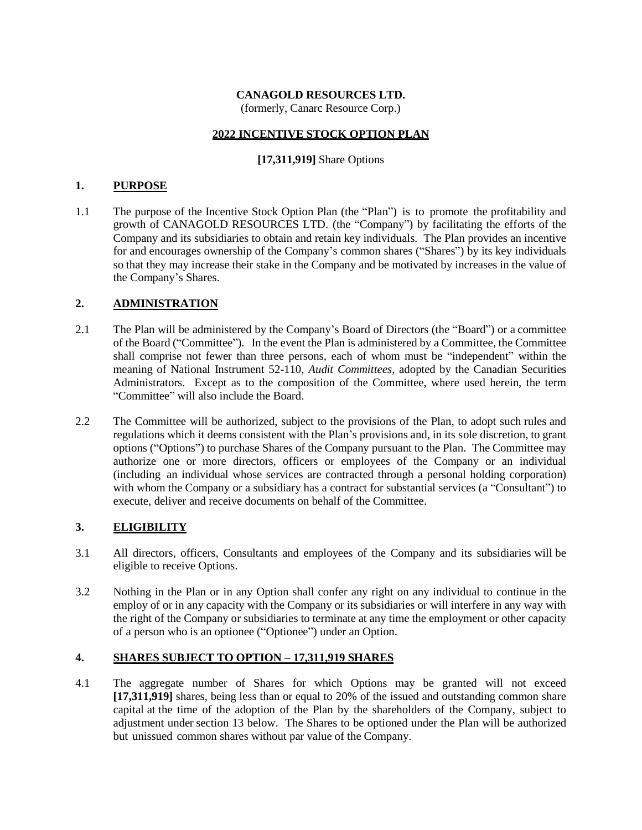#### **CANAGOLD RESOURCES LTD.**

(formerly, Canarc Resource Corp.)

#### **2022 INCENTIVE STOCK OPTION PLAN**

#### **[17,311,919]** Share Options

#### **1. PURPOSE**

1.1 The purpose of the Incentive Stock Option Plan (the "Plan") is to promote the profitability and growth of CANAGOLD RESOURCES LTD. (the "Company") by facilitating the efforts of the Company and its subsidiaries to obtain and retain key individuals. The Plan provides an incentive for and encourages ownership of the Company's common shares ("Shares") by its key individuals so that they may increase their stake in the Company and be motivated by increases in the value of the Company's Shares.

#### **2. ADMINISTRATION**

- 2.1 The Plan will be administered by the Company's Board of Directors (the "Board") or a committee of the Board ("Committee"). In the event the Plan is administered by a Committee, the Committee shall comprise not fewer than three persons, each of whom must be "independent" within the meaning of National Instrument 52-110, *Audit Committees,* adopted by the Canadian Securities Administrators. Except as to the composition of the Committee, where used herein, the term "Committee" will also include the Board.
- 2.2 The Committee will be authorized, subject to the provisions of the Plan, to adopt such rules and regulations which it deems consistent with the Plan's provisions and, in its sole discretion, to grant options ("Options") to purchase Shares of the Company pursuant to the Plan. The Committee may authorize one or more directors, officers or employees of the Company or an individual (including an individual whose services are contracted through a personal holding corporation) with whom the Company or a subsidiary has a contract for substantial services (a "Consultant") to execute, deliver and receive documents on behalf of the Committee.

## **3. ELIGIBILITY**

- 3.1 All directors, officers, Consultants and employees of the Company and its subsidiaries will be eligible to receive Options.
- 3.2 Nothing in the Plan or in any Option shall confer any right on any individual to continue in the employ of or in any capacity with the Company or its subsidiaries or will interfere in any way with the right of the Company or subsidiaries to terminate at any time the employment or other capacity of a person who is an optionee ("Optionee") under an Option.

#### **4. SHARES SUBJECT TO OPTION – 17,311,919 SHARES**

4.1 The aggregate number of Shares for which Options may be granted will not exceed **[17,311,919]** shares, being less than or equal to 20% of the issued and outstanding common share capital at the time of the adoption of the Plan by the shareholders of the Company, subject to adjustment under section 13 below. The Shares to be optioned under the Plan will be authorized but unissued common shares without par value of the Company.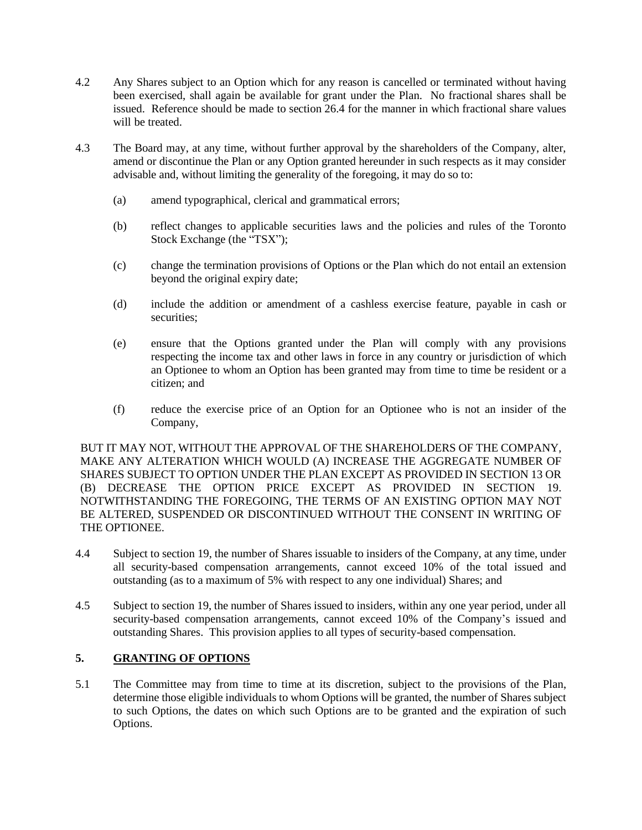- 4.2 Any Shares subject to an Option which for any reason is cancelled or terminated without having been exercised, shall again be available for grant under the Plan. No fractional shares shall be issued. Reference should be made to section 26.4 for the manner in which fractional share values will be treated.
- 4.3 The Board may, at any time, without further approval by the shareholders of the Company, alter, amend or discontinue the Plan or any Option granted hereunder in such respects as it may consider advisable and, without limiting the generality of the foregoing, it may do so to:
	- (a) amend typographical, clerical and grammatical errors;
	- (b) reflect changes to applicable securities laws and the policies and rules of the Toronto Stock Exchange (the "TSX");
	- (c) change the termination provisions of Options or the Plan which do not entail an extension beyond the original expiry date;
	- (d) include the addition or amendment of a cashless exercise feature, payable in cash or securities;
	- (e) ensure that the Options granted under the Plan will comply with any provisions respecting the income tax and other laws in force in any country or jurisdiction of which an Optionee to whom an Option has been granted may from time to time be resident or a citizen; and
	- (f) reduce the exercise price of an Option for an Optionee who is not an insider of the Company,

BUT IT MAY NOT, WITHOUT THE APPROVAL OF THE SHAREHOLDERS OF THE COMPANY, MAKE ANY ALTERATION WHICH WOULD (A) INCREASE THE AGGREGATE NUMBER OF SHARES SUBJECT TO OPTION UNDER THE PLAN EXCEPT AS PROVIDED IN SECTION 13 OR (B) DECREASE THE OPTION PRICE EXCEPT AS PROVIDED IN SECTION 19. NOTWITHSTANDING THE FOREGOING, THE TERMS OF AN EXISTING OPTION MAY NOT BE ALTERED, SUSPENDED OR DISCONTINUED WITHOUT THE CONSENT IN WRITING OF THE OPTIONEE.

- 4.4 Subject to section 19, the number of Shares issuable to insiders of the Company, at any time, under all security-based compensation arrangements, cannot exceed 10% of the total issued and outstanding (as to a maximum of 5% with respect to any one individual) Shares; and
- 4.5 Subject to section 19, the number of Shares issued to insiders, within any one year period, under all security-based compensation arrangements, cannot exceed 10% of the Company's issued and outstanding Shares. This provision applies to all types of security-based compensation.

## **5. GRANTING OF OPTIONS**

5.1 The Committee may from time to time at its discretion, subject to the provisions of the Plan, determine those eligible individuals to whom Options will be granted, the number of Shares subject to such Options, the dates on which such Options are to be granted and the expiration of such Options.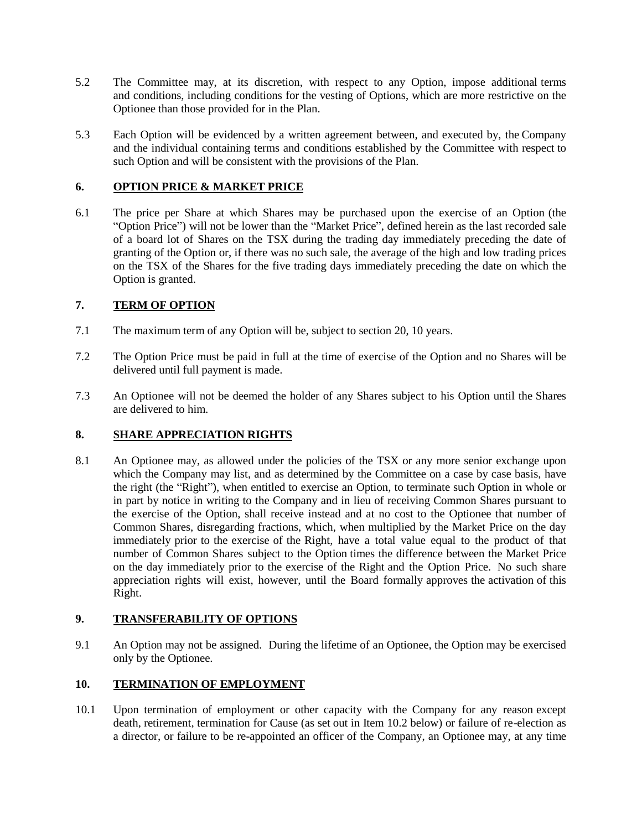- 5.2 The Committee may, at its discretion, with respect to any Option, impose additional terms and conditions, including conditions for the vesting of Options, which are more restrictive on the Optionee than those provided for in the Plan.
- 5.3 Each Option will be evidenced by a written agreement between, and executed by, the Company and the individual containing terms and conditions established by the Committee with respect to such Option and will be consistent with the provisions of the Plan.

## **6. OPTION PRICE & MARKET PRICE**

6.1 The price per Share at which Shares may be purchased upon the exercise of an Option (the "Option Price") will not be lower than the "Market Price", defined herein as the last recorded sale of a board lot of Shares on the TSX during the trading day immediately preceding the date of granting of the Option or, if there was no such sale, the average of the high and low trading prices on the TSX of the Shares for the five trading days immediately preceding the date on which the Option is granted.

# **7. TERM OF OPTION**

- 7.1 The maximum term of any Option will be, subject to section 20, 10 years.
- 7.2 The Option Price must be paid in full at the time of exercise of the Option and no Shares will be delivered until full payment is made.
- 7.3 An Optionee will not be deemed the holder of any Shares subject to his Option until the Shares are delivered to him.

## **8. SHARE APPRECIATION RIGHTS**

8.1 An Optionee may, as allowed under the policies of the TSX or any more senior exchange upon which the Company may list, and as determined by the Committee on a case by case basis, have the right (the "Right"), when entitled to exercise an Option, to terminate such Option in whole or in part by notice in writing to the Company and in lieu of receiving Common Shares pursuant to the exercise of the Option, shall receive instead and at no cost to the Optionee that number of Common Shares, disregarding fractions, which, when multiplied by the Market Price on the day immediately prior to the exercise of the Right, have a total value equal to the product of that number of Common Shares subject to the Option times the difference between the Market Price on the day immediately prior to the exercise of the Right and the Option Price. No such share appreciation rights will exist, however, until the Board formally approves the activation of this Right.

## **9. TRANSFERABILITY OF OPTIONS**

9.1 An Option may not be assigned. During the lifetime of an Optionee, the Option may be exercised only by the Optionee.

## **10. TERMINATION OF EMPLOYMENT**

10.1 Upon termination of employment or other capacity with the Company for any reason except death, retirement, termination for Cause (as set out in Item 10.2 below) or failure of re-election as a director, or failure to be re-appointed an officer of the Company, an Optionee may, at any time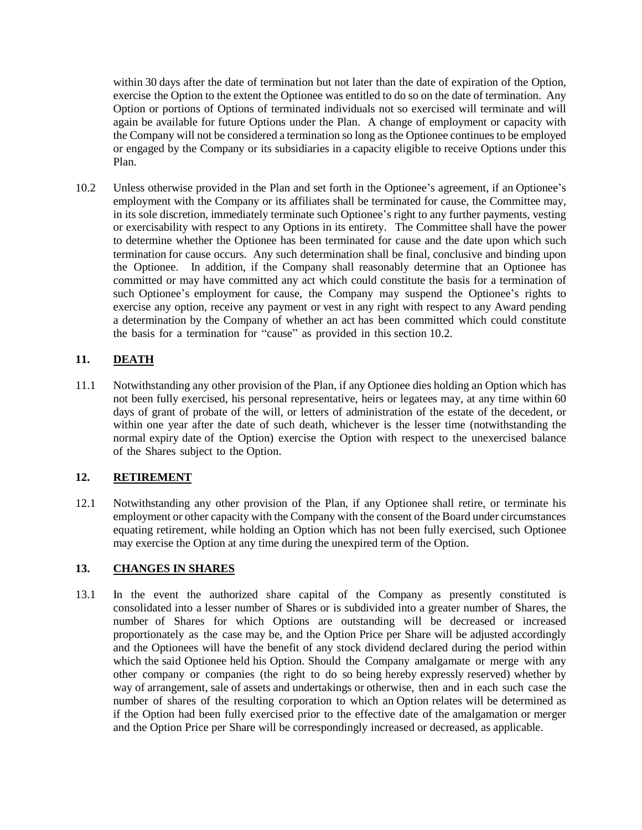within 30 days after the date of termination but not later than the date of expiration of the Option, exercise the Option to the extent the Optionee was entitled to do so on the date of termination. Any Option or portions of Options of terminated individuals not so exercised will terminate and will again be available for future Options under the Plan. A change of employment or capacity with the Company will not be considered a termination so long as the Optionee continues to be employed or engaged by the Company or its subsidiaries in a capacity eligible to receive Options under this Plan.

10.2 Unless otherwise provided in the Plan and set forth in the Optionee's agreement, if an Optionee's employment with the Company or its affiliates shall be terminated for cause, the Committee may, in its sole discretion, immediately terminate such Optionee's right to any further payments, vesting or exercisability with respect to any Options in its entirety. The Committee shall have the power to determine whether the Optionee has been terminated for cause and the date upon which such termination for cause occurs. Any such determination shall be final, conclusive and binding upon the Optionee. In addition, if the Company shall reasonably determine that an Optionee has committed or may have committed any act which could constitute the basis for a termination of such Optionee's employment for cause, the Company may suspend the Optionee's rights to exercise any option, receive any payment or vest in any right with respect to any Award pending a determination by the Company of whether an act has been committed which could constitute the basis for a termination for "cause" as provided in this section 10.2.

## **11. DEATH**

11.1 Notwithstanding any other provision of the Plan, if any Optionee dies holding an Option which has not been fully exercised, his personal representative, heirs or legatees may, at any time within 60 days of grant of probate of the will, or letters of administration of the estate of the decedent, or within one year after the date of such death, whichever is the lesser time (notwithstanding the normal expiry date of the Option) exercise the Option with respect to the unexercised balance of the Shares subject to the Option.

## **12. RETIREMENT**

12.1 Notwithstanding any other provision of the Plan, if any Optionee shall retire, or terminate his employment or other capacity with the Company with the consent of the Board under circumstances equating retirement, while holding an Option which has not been fully exercised, such Optionee may exercise the Option at any time during the unexpired term of the Option.

## **13. CHANGES IN SHARES**

13.1 In the event the authorized share capital of the Company as presently constituted is consolidated into a lesser number of Shares or is subdivided into a greater number of Shares, the number of Shares for which Options are outstanding will be decreased or increased proportionately as the case may be, and the Option Price per Share will be adjusted accordingly and the Optionees will have the benefit of any stock dividend declared during the period within which the said Optionee held his Option. Should the Company amalgamate or merge with any other company or companies (the right to do so being hereby expressly reserved) whether by way of arrangement, sale of assets and undertakings or otherwise, then and in each such case the number of shares of the resulting corporation to which an Option relates will be determined as if the Option had been fully exercised prior to the effective date of the amalgamation or merger and the Option Price per Share will be correspondingly increased or decreased, as applicable.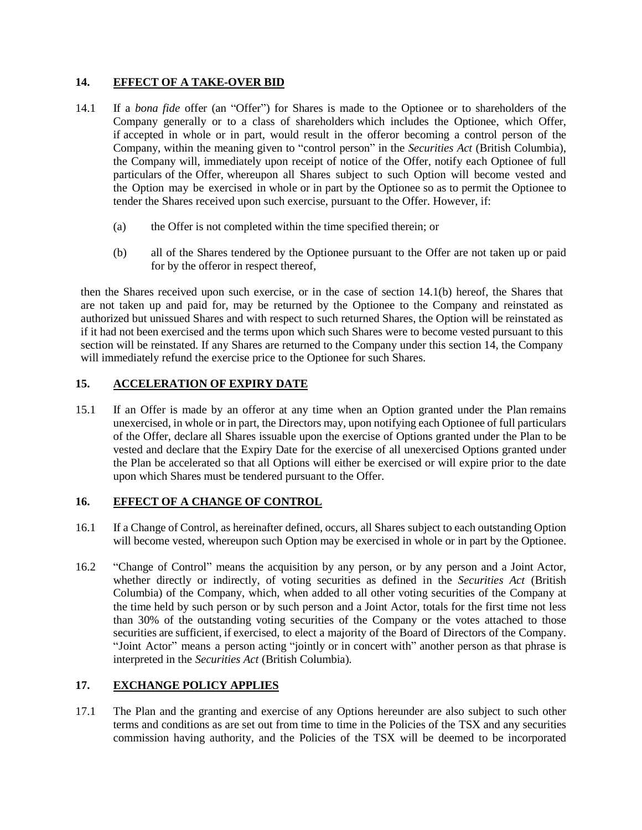#### **14. EFFECT OF A TAKE-OVER BID**

- 14.1 If a *bona fide* offer (an "Offer") for Shares is made to the Optionee or to shareholders of the Company generally or to a class of shareholders which includes the Optionee, which Offer, if accepted in whole or in part, would result in the offeror becoming a control person of the Company, within the meaning given to "control person" in the *Securities Act* (British Columbia), the Company will, immediately upon receipt of notice of the Offer, notify each Optionee of full particulars of the Offer, whereupon all Shares subject to such Option will become vested and the Option may be exercised in whole or in part by the Optionee so as to permit the Optionee to tender the Shares received upon such exercise, pursuant to the Offer. However, if:
	- (a) the Offer is not completed within the time specified therein; or
	- (b) all of the Shares tendered by the Optionee pursuant to the Offer are not taken up or paid for by the offeror in respect thereof,

then the Shares received upon such exercise, or in the case of section 14.1(b) hereof, the Shares that are not taken up and paid for, may be returned by the Optionee to the Company and reinstated as authorized but unissued Shares and with respect to such returned Shares, the Option will be reinstated as if it had not been exercised and the terms upon which such Shares were to become vested pursuant to this section will be reinstated. If any Shares are returned to the Company under this section 14, the Company will immediately refund the exercise price to the Optionee for such Shares.

## **15. ACCELERATION OF EXPIRY DATE**

15.1 If an Offer is made by an offeror at any time when an Option granted under the Plan remains unexercised, in whole or in part, the Directors may, upon notifying each Optionee of full particulars of the Offer, declare all Shares issuable upon the exercise of Options granted under the Plan to be vested and declare that the Expiry Date for the exercise of all unexercised Options granted under the Plan be accelerated so that all Options will either be exercised or will expire prior to the date upon which Shares must be tendered pursuant to the Offer.

#### **16. EFFECT OF A CHANGE OF CONTROL**

- 16.1 If a Change of Control, as hereinafter defined, occurs, all Shares subject to each outstanding Option will become vested, whereupon such Option may be exercised in whole or in part by the Optionee.
- 16.2 "Change of Control" means the acquisition by any person, or by any person and a Joint Actor, whether directly or indirectly, of voting securities as defined in the *Securities Act* (British Columbia) of the Company, which, when added to all other voting securities of the Company at the time held by such person or by such person and a Joint Actor, totals for the first time not less than 30% of the outstanding voting securities of the Company or the votes attached to those securities are sufficient, if exercised, to elect a majority of the Board of Directors of the Company. "Joint Actor" means a person acting "jointly or in concert with" another person as that phrase is interpreted in the *Securities Act* (British Columbia)*.*

## **17. EXCHANGE POLICY APPLIES**

17.1 The Plan and the granting and exercise of any Options hereunder are also subject to such other terms and conditions as are set out from time to time in the Policies of the TSX and any securities commission having authority, and the Policies of the TSX will be deemed to be incorporated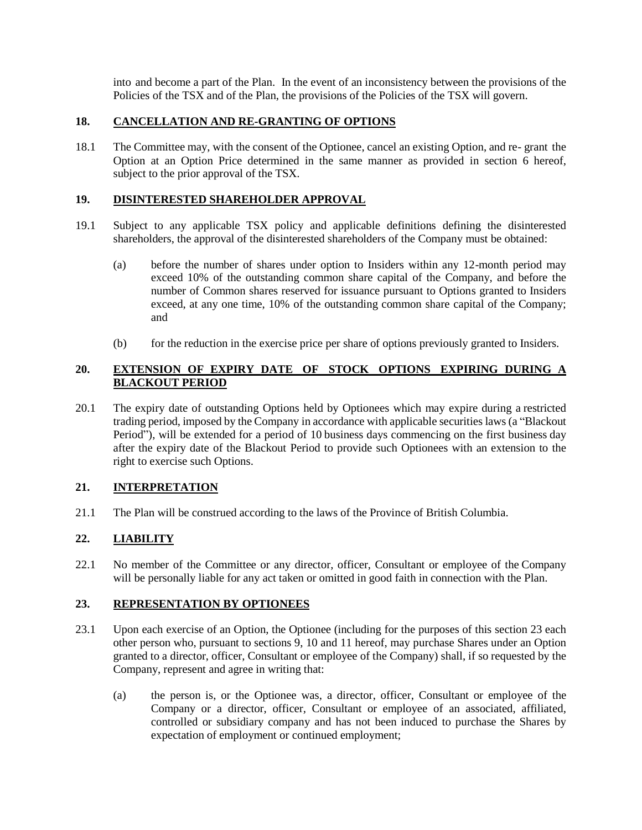into and become a part of the Plan. In the event of an inconsistency between the provisions of the Policies of the TSX and of the Plan, the provisions of the Policies of the TSX will govern.

#### **18. CANCELLATION AND RE-GRANTING OF OPTIONS**

18.1 The Committee may, with the consent of the Optionee, cancel an existing Option, and re- grant the Option at an Option Price determined in the same manner as provided in section 6 hereof, subject to the prior approval of the TSX.

#### **19. DISINTERESTED SHAREHOLDER APPROVAL**

- 19.1 Subject to any applicable TSX policy and applicable definitions defining the disinterested shareholders, the approval of the disinterested shareholders of the Company must be obtained:
	- (a) before the number of shares under option to Insiders within any 12-month period may exceed 10% of the outstanding common share capital of the Company, and before the number of Common shares reserved for issuance pursuant to Options granted to Insiders exceed, at any one time, 10% of the outstanding common share capital of the Company; and
	- (b) for the reduction in the exercise price per share of options previously granted to Insiders.

## **20. EXTENSION OF EXPIRY DATE OF STOCK OPTIONS EXPIRING DURING A BLACKOUT PERIOD**

20.1 The expiry date of outstanding Options held by Optionees which may expire during a restricted trading period, imposed by the Company in accordance with applicable securities laws (a "Blackout Period"), will be extended for a period of 10 business days commencing on the first business day after the expiry date of the Blackout Period to provide such Optionees with an extension to the right to exercise such Options.

#### **21. INTERPRETATION**

21.1 The Plan will be construed according to the laws of the Province of British Columbia.

# **22. LIABILITY**

22.1 No member of the Committee or any director, officer, Consultant or employee of the Company will be personally liable for any act taken or omitted in good faith in connection with the Plan.

#### **23. REPRESENTATION BY OPTIONEES**

- 23.1 Upon each exercise of an Option, the Optionee (including for the purposes of this section 23 each other person who, pursuant to sections 9, 10 and 11 hereof, may purchase Shares under an Option granted to a director, officer, Consultant or employee of the Company) shall, if so requested by the Company, represent and agree in writing that:
	- (a) the person is, or the Optionee was, a director, officer, Consultant or employee of the Company or a director, officer, Consultant or employee of an associated, affiliated, controlled or subsidiary company and has not been induced to purchase the Shares by expectation of employment or continued employment;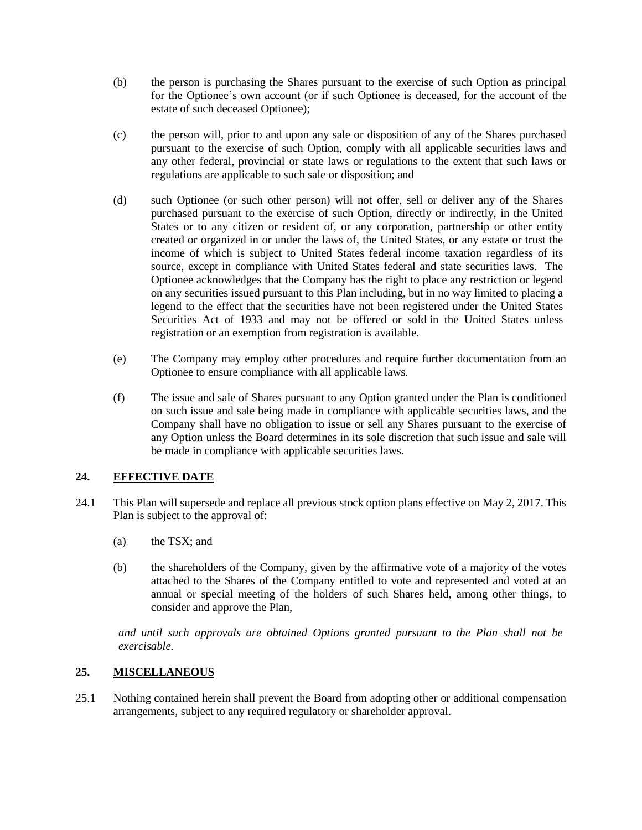- (b) the person is purchasing the Shares pursuant to the exercise of such Option as principal for the Optionee's own account (or if such Optionee is deceased, for the account of the estate of such deceased Optionee);
- (c) the person will, prior to and upon any sale or disposition of any of the Shares purchased pursuant to the exercise of such Option, comply with all applicable securities laws and any other federal, provincial or state laws or regulations to the extent that such laws or regulations are applicable to such sale or disposition; and
- (d) such Optionee (or such other person) will not offer, sell or deliver any of the Shares purchased pursuant to the exercise of such Option, directly or indirectly, in the United States or to any citizen or resident of, or any corporation, partnership or other entity created or organized in or under the laws of, the United States, or any estate or trust the income of which is subject to United States federal income taxation regardless of its source, except in compliance with United States federal and state securities laws. The Optionee acknowledges that the Company has the right to place any restriction or legend on any securities issued pursuant to this Plan including, but in no way limited to placing a legend to the effect that the securities have not been registered under the United States Securities Act of 1933 and may not be offered or sold in the United States unless registration or an exemption from registration is available.
- (e) The Company may employ other procedures and require further documentation from an Optionee to ensure compliance with all applicable laws.
- (f) The issue and sale of Shares pursuant to any Option granted under the Plan is conditioned on such issue and sale being made in compliance with applicable securities laws, and the Company shall have no obligation to issue or sell any Shares pursuant to the exercise of any Option unless the Board determines in its sole discretion that such issue and sale will be made in compliance with applicable securities laws.

## **24. EFFECTIVE DATE**

- 24.1 This Plan will supersede and replace all previous stock option plans effective on May 2, 2017. This Plan is subject to the approval of:
	- (a) the TSX; and
	- (b) the shareholders of the Company, given by the affirmative vote of a majority of the votes attached to the Shares of the Company entitled to vote and represented and voted at an annual or special meeting of the holders of such Shares held, among other things, to consider and approve the Plan,

*and until such approvals are obtained Options granted pursuant to the Plan shall not be exercisable.*

## **25. MISCELLANEOUS**

25.1 Nothing contained herein shall prevent the Board from adopting other or additional compensation arrangements, subject to any required regulatory or shareholder approval.